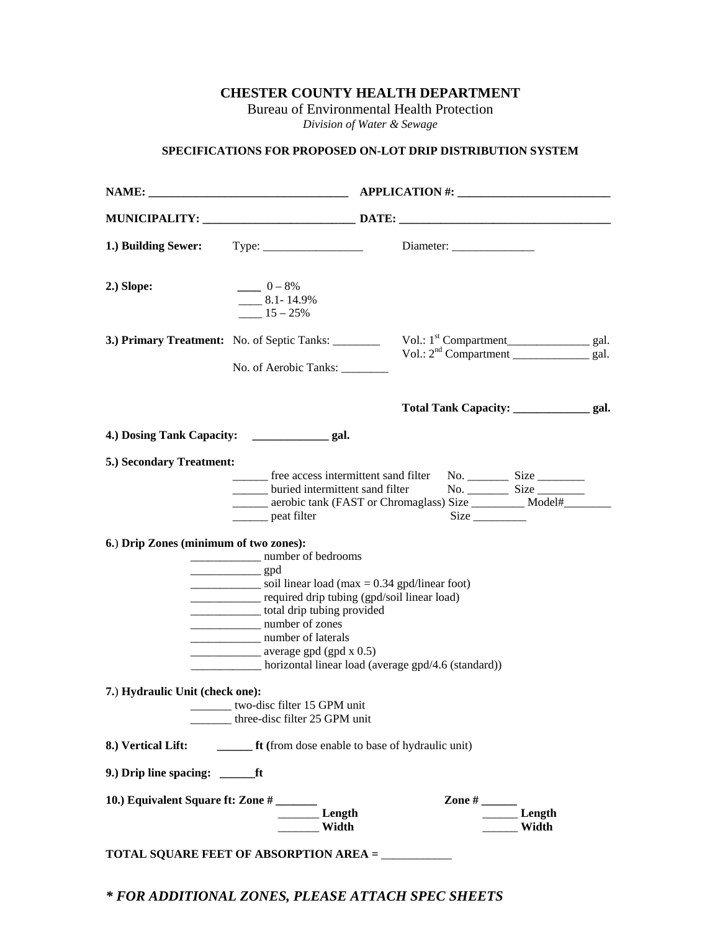**CHESTER COUNTY HEALTH DEPARTMENT** 

Bureau of Environmental Health Protection *Division of Water & Sewage* 

# **SPECIFICATIONS FOR PROPOSED ON-LOT DRIP DISTRIBUTION SYSTEM**

| 1.) Building Sewer:                                                                                   | $Type: \_\_\_\_\_\_\_\_\_\_\_\_\_\_\_\_\_\_\_\_\_$                                                                                                                                                                                                                                                                                                                                                                                                                                                                                                                                                                                                                                                                                                                                   |                                                                                                                                    |            |
|-------------------------------------------------------------------------------------------------------|--------------------------------------------------------------------------------------------------------------------------------------------------------------------------------------------------------------------------------------------------------------------------------------------------------------------------------------------------------------------------------------------------------------------------------------------------------------------------------------------------------------------------------------------------------------------------------------------------------------------------------------------------------------------------------------------------------------------------------------------------------------------------------------|------------------------------------------------------------------------------------------------------------------------------------|------------|
| 2.) Slope:                                                                                            | $- 0 - 8%$<br>$-8.1 - 14.9\%$<br>$15 - 25\%$                                                                                                                                                                                                                                                                                                                                                                                                                                                                                                                                                                                                                                                                                                                                         |                                                                                                                                    |            |
|                                                                                                       | 3.) Primary Treatment: No. of Septic Tanks: _______<br>No. of Aerobic Tanks:                                                                                                                                                                                                                                                                                                                                                                                                                                                                                                                                                                                                                                                                                                         | Vol.: 1 <sup>st</sup> Compartment____________________ gal.<br>Vol.: 2 <sup>nd</sup> Compartment ________________ gal.              |            |
|                                                                                                       |                                                                                                                                                                                                                                                                                                                                                                                                                                                                                                                                                                                                                                                                                                                                                                                      |                                                                                                                                    |            |
|                                                                                                       |                                                                                                                                                                                                                                                                                                                                                                                                                                                                                                                                                                                                                                                                                                                                                                                      |                                                                                                                                    |            |
| 5.) Secondary Treatment:<br>6.) Drip Zones (minimum of two zones):<br>7.) Hydraulic Unit (check one): | ________ free access intermittent sand filter<br>buried intermittent sand filter<br>peat filter<br>$\frac{1}{\sqrt{1-\frac{1}{2}}\sqrt{1-\frac{1}{2}}\sqrt{1-\frac{1}{2}}\sqrt{1-\frac{1}{2}}\sqrt{1-\frac{1}{2}}\sqrt{1-\frac{1}{2}}\sqrt{1-\frac{1}{2}}\sqrt{1-\frac{1}{2}}\sqrt{1-\frac{1}{2}}\sqrt{1-\frac{1}{2}}\sqrt{1-\frac{1}{2}}\sqrt{1-\frac{1}{2}}\sqrt{1-\frac{1}{2}}\sqrt{1-\frac{1}{2}}\sqrt{1-\frac{1}{2}}\sqrt{1-\frac{1}{2}}\sqrt{1-\frac{1}{2}}\sqrt{1-\frac{1}{2}}\sqrt{1-\frac{1}{2}}\sqrt{1-\frac$<br>$\frac{1}{2}$ soil linear load (max = 0.34 gpd/linear foot)<br>______________ required drip tubing (gpd/soil linear load)<br>_______________ total drip tubing provided<br>number of zones<br>number of laterals<br>$\frac{1}{2}$ average gpd (gpd x 0.5) | _______ aerobic tank (FAST or Chromaglass) Size ___________ Model#_________<br>horizontal linear load (average gpd/4.6 (standard)) | $No.$ Size |
|                                                                                                       | two-disc filter 15 GPM unit<br>three-disc filter 25 GPM unit                                                                                                                                                                                                                                                                                                                                                                                                                                                                                                                                                                                                                                                                                                                         |                                                                                                                                    |            |
|                                                                                                       | 8.) Vertical Lift: <u>_______</u> ft (from dose enable to base of hydraulic unit)                                                                                                                                                                                                                                                                                                                                                                                                                                                                                                                                                                                                                                                                                                    |                                                                                                                                    |            |
|                                                                                                       |                                                                                                                                                                                                                                                                                                                                                                                                                                                                                                                                                                                                                                                                                                                                                                                      |                                                                                                                                    |            |
|                                                                                                       | Width<br>TOTAL SQUARE FEET OF ABSORPTION AREA = ____________                                                                                                                                                                                                                                                                                                                                                                                                                                                                                                                                                                                                                                                                                                                         |                                                                                                                                    | Width      |
|                                                                                                       |                                                                                                                                                                                                                                                                                                                                                                                                                                                                                                                                                                                                                                                                                                                                                                                      | * FOR ADDITIONAL ZONES, PLEASE ATTACH SPEC SHEETS                                                                                  |            |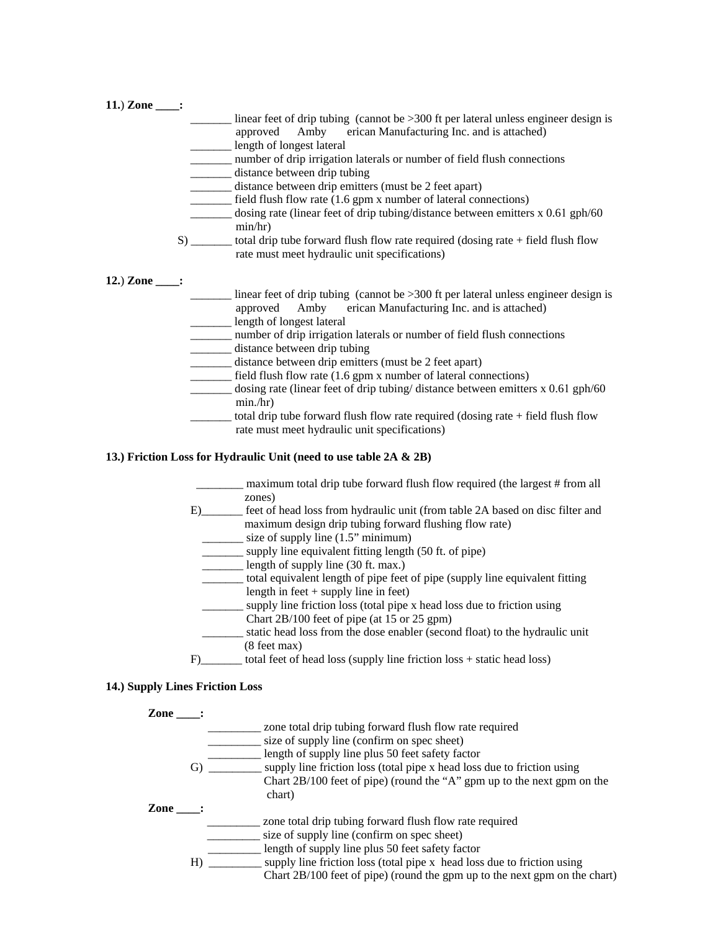| 11.) Zone $\qquad$ : | linear feet of drip tubing (cannot be $>300$ ft per lateral unless engineer design is<br>approved Amby erican Manufacturing Inc. and is attached)<br>length of longest lateral<br>number of drip irrigation laterals or number of field flush connections<br>distance between drip tubing<br>distance between drip emitters (must be 2 feet apart)<br>field flush flow rate (1.6 gpm x number of lateral connections)<br>$\frac{1}{2}$ dosing rate (linear feet of drip tubing/distance between emitters x 0.61 gph/60<br>min/hr)                                                                                                                                  |
|----------------------|--------------------------------------------------------------------------------------------------------------------------------------------------------------------------------------------------------------------------------------------------------------------------------------------------------------------------------------------------------------------------------------------------------------------------------------------------------------------------------------------------------------------------------------------------------------------------------------------------------------------------------------------------------------------|
|                      | S) ________ total drip tube forward flush flow rate required (dosing rate + field flush flow<br>rate must meet hydraulic unit specifications)                                                                                                                                                                                                                                                                                                                                                                                                                                                                                                                      |
| 12.) Zone $\qquad$ : | linear feet of drip tubing (cannot be $>300$ ft per lateral unless engineer design is<br>approved Amby erican Manufacturing Inc. and is attached)<br>length of longest lateral<br>_____ number of drip irrigation laterals or number of field flush connections<br>distance between drip tubing<br>distance between drip emitters (must be 2 feet apart)<br>field flush flow rate (1.6 gpm x number of lateral connections)<br>dosing rate (linear feet of drip tubing/distance between emitters $x$ 0.61 gph/60<br>min/hr)<br>total drip tube forward flush flow rate required (dosing rate $+$ field flush flow<br>rate must meet hydraulic unit specifications) |

### **13.) Friction Loss for Hydraulic Unit (need to use table 2A & 2B)**

- \_\_\_\_\_\_\_\_ maximum total drip tube forward flush flow required (the largest # from all zones) E)\_\_\_\_\_\_\_ feet of head loss from hydraulic unit (from table 2A based on disc filter and
	- maximum design drip tubing forward flushing flow rate)
	- $\frac{1}{2}$  size of supply line (1.5" minimum)
	- \_\_\_\_\_\_\_ supply line equivalent fitting length (50 ft. of pipe)
	- $\frac{1}{2}$  length of supply line (30 ft. max.)
	- \_\_\_\_\_\_\_ total equivalent length of pipe feet of pipe (supply line equivalent fitting length in feet  $+$  supply line in feet)
		- \_\_\_\_\_\_\_ supply line friction loss (total pipe x head loss due to friction using Chart 2B/100 feet of pipe (at 15 or 25 gpm)
		- \_\_\_\_\_\_\_ static head loss from the dose enabler (second float) to the hydraulic unit (8 feet max)
- F)\_\_\_\_\_\_\_\_ total feet of head loss (supply line friction loss + static head loss)

## **14.) Supply Lines Friction Loss**

**Zone \_\_\_\_:**  \_\_\_\_\_\_\_\_\_ zone total drip tubing forward flush flow rate required \_\_\_\_\_\_\_\_\_ size of supply line (confirm on spec sheet) \_\_\_\_\_\_\_\_\_ length of supply line plus 50 feet safety factor G) \_\_\_\_\_\_\_\_\_ supply line friction loss (total pipe x head loss due to friction using Chart 2B/100 feet of pipe) (round the "A" gpm up to the next gpm on the chart)  **Zone \_\_\_\_:** \_\_\_\_\_\_\_\_\_ zone total drip tubing forward flush flow rate required size of supply line (confirm on spec sheet) **EXECUTE:** length of supply line plus 50 feet safety factor H) \_\_\_\_\_\_\_\_\_ supply line friction loss (total pipe x head loss due to friction using Chart 2B/100 feet of pipe) (round the gpm up to the next gpm on the chart)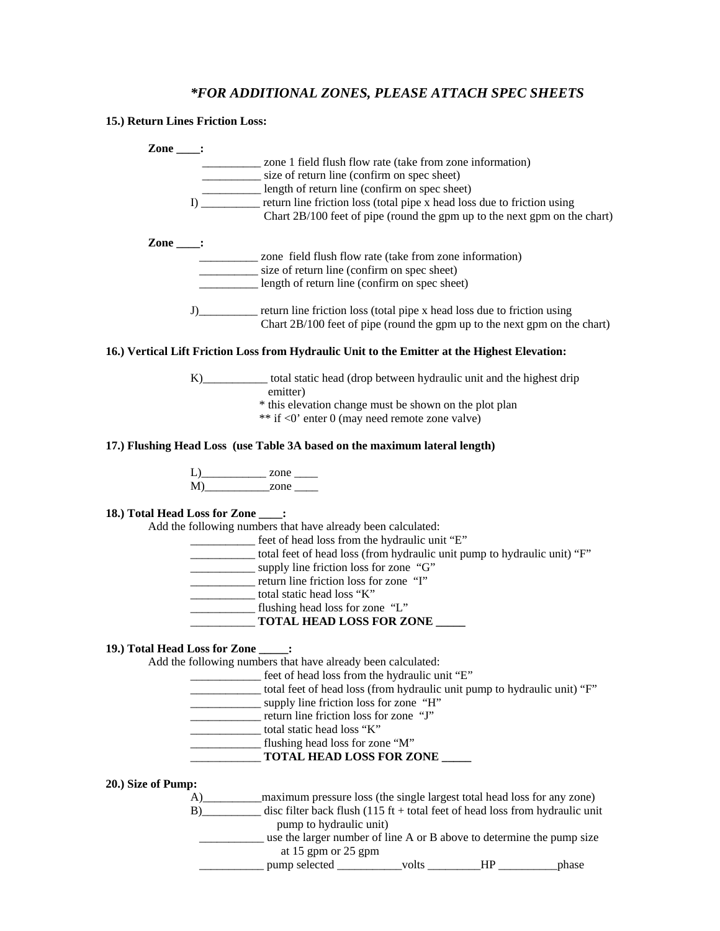# *\*FOR ADDITIONAL ZONES, PLEASE ATTACH SPEC SHEETS*

**15.) Return Lines Friction Loss:** 

| $\mathsf{Zone}$ :                    |                                                                                                                                                                                                                                                                                                                                                                                 |
|--------------------------------------|---------------------------------------------------------------------------------------------------------------------------------------------------------------------------------------------------------------------------------------------------------------------------------------------------------------------------------------------------------------------------------|
|                                      | __________ zone 1 field flush flow rate (take from zone information)                                                                                                                                                                                                                                                                                                            |
|                                      | size of return line (confirm on spec sheet)                                                                                                                                                                                                                                                                                                                                     |
|                                      | length of return line (confirm on spec sheet)                                                                                                                                                                                                                                                                                                                                   |
|                                      | I) ___________ return line friction loss (total pipe x head loss due to friction using                                                                                                                                                                                                                                                                                          |
|                                      | Chart 2B/100 feet of pipe (round the gpm up to the next gpm on the chart)                                                                                                                                                                                                                                                                                                       |
| Zone $\_\_$ :                        |                                                                                                                                                                                                                                                                                                                                                                                 |
|                                      | ___________ zone field flush flow rate (take from zone information)                                                                                                                                                                                                                                                                                                             |
|                                      | size of return line (confirm on spec sheet)                                                                                                                                                                                                                                                                                                                                     |
|                                      | length of return line (confirm on spec sheet)                                                                                                                                                                                                                                                                                                                                   |
|                                      | J) return line friction loss (total pipe x head loss due to friction using                                                                                                                                                                                                                                                                                                      |
|                                      | Chart 2B/100 feet of pipe (round the gpm up to the next gpm on the chart)                                                                                                                                                                                                                                                                                                       |
|                                      | 16.) Vertical Lift Friction Loss from Hydraulic Unit to the Emitter at the Highest Elevation:                                                                                                                                                                                                                                                                                   |
|                                      | K) total static head (drop between hydraulic unit and the highest drip                                                                                                                                                                                                                                                                                                          |
|                                      | emitter)                                                                                                                                                                                                                                                                                                                                                                        |
|                                      | * this elevation change must be shown on the plot plan                                                                                                                                                                                                                                                                                                                          |
|                                      | ** if <0' enter 0 (may need remote zone valve)                                                                                                                                                                                                                                                                                                                                  |
|                                      |                                                                                                                                                                                                                                                                                                                                                                                 |
|                                      | 17.) Flushing Head Loss (use Table 3A based on the maximum lateral length)                                                                                                                                                                                                                                                                                                      |
|                                      |                                                                                                                                                                                                                                                                                                                                                                                 |
|                                      |                                                                                                                                                                                                                                                                                                                                                                                 |
|                                      | Add the following numbers that have already been calculated:<br>_____________ feet of head loss from the hydraulic unit "E"<br>total feet of head loss (from hydraulic unit pump to hydraulic unit) "F"<br>supply line friction loss for zone "G"<br>_______________ total static head loss "K"<br>flushing head loss for zone "L"<br>__________ TOTAL HEAD LOSS FOR ZONE _____ |
| 19.) Total Head Loss for Zone _____: |                                                                                                                                                                                                                                                                                                                                                                                 |
|                                      | Add the following numbers that have already been calculated:<br>__________ feet of head loss from the hydraulic unit "E"                                                                                                                                                                                                                                                        |
|                                      | total feet of head loss (from hydraulic unit pump to hydraulic unit) "F"                                                                                                                                                                                                                                                                                                        |
|                                      | supply line friction loss for zone "H"                                                                                                                                                                                                                                                                                                                                          |
|                                      | __________________ return line friction loss for zone "J"                                                                                                                                                                                                                                                                                                                       |
|                                      | total static head loss "K"                                                                                                                                                                                                                                                                                                                                                      |
|                                      | flushing head loss for zone "M"                                                                                                                                                                                                                                                                                                                                                 |
|                                      | ___________ TOTAL HEAD LOSS FOR ZONE _____                                                                                                                                                                                                                                                                                                                                      |
| 20.) Size of Pump:                   |                                                                                                                                                                                                                                                                                                                                                                                 |
|                                      | A) __________ maximum pressure loss (the single largest total head loss for any zone)                                                                                                                                                                                                                                                                                           |
|                                      | B) disc filter back flush (115 ft + total feet of head loss from hydraulic unit                                                                                                                                                                                                                                                                                                 |
|                                      | pump to hydraulic unit)                                                                                                                                                                                                                                                                                                                                                         |
|                                      | use the larger number of line A or B above to determine the pump size                                                                                                                                                                                                                                                                                                           |
|                                      | at 15 gpm or 25 gpm                                                                                                                                                                                                                                                                                                                                                             |
|                                      | ____________ pump selected _____________volts __________HP ______________phase                                                                                                                                                                                                                                                                                                  |
|                                      |                                                                                                                                                                                                                                                                                                                                                                                 |